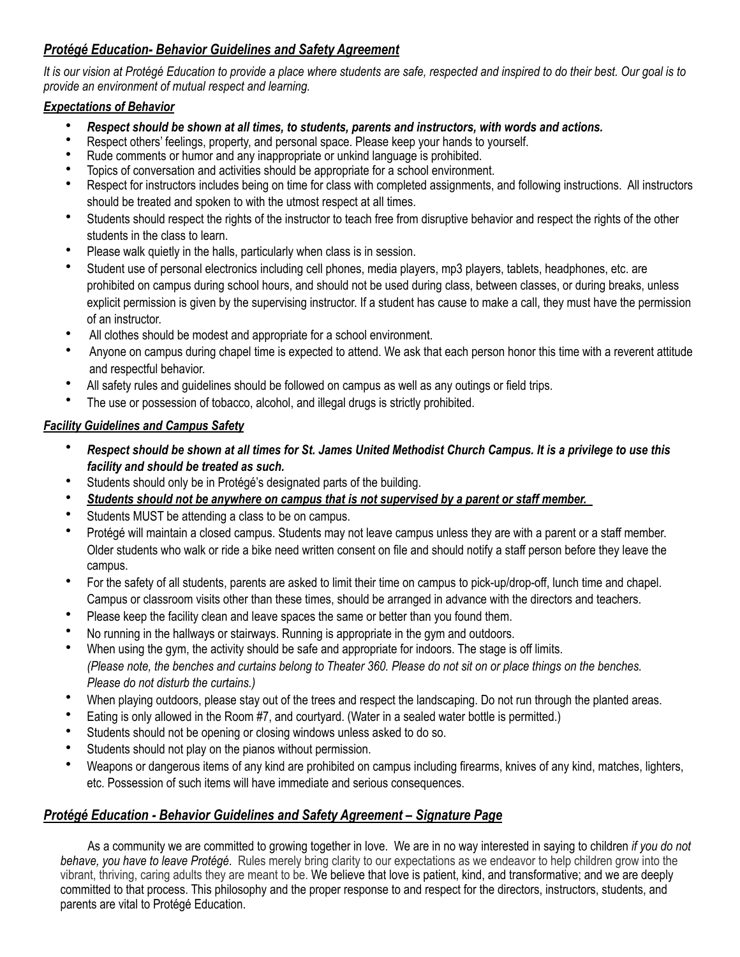## *Protégé Education- Behavior Guidelines and Safety Agreement*

*It is our vision at Protégé Education to provide a place where students are safe, respected and inspired to do their best. Our goal is to provide an environment of mutual respect and learning.*

## *Expectations of Behavior*

- *Respect should be shown at all times, to students, parents and instructors, with words and actions.*
- Respect others' feelings, property, and personal space. Please keep your hands to yourself.
- Rude comments or humor and any inappropriate or unkind language is prohibited.
- Topics of conversation and activities should be appropriate for a school environment.
- Respect for instructors includes being on time for class with completed assignments, and following instructions. All instructors should be treated and spoken to with the utmost respect at all times.
- Students should respect the rights of the instructor to teach free from disruptive behavior and respect the rights of the other students in the class to learn.
- Please walk quietly in the halls, particularly when class is in session.
- Student use of personal electronics including cell phones, media players, mp3 players, tablets, headphones, etc. are prohibited on campus during school hours, and should not be used during class, between classes, or during breaks, unless explicit permission is given by the supervising instructor. If a student has cause to make a call, they must have the permission of an instructor.
- All clothes should be modest and appropriate for a school environment.
- Anyone on campus during chapel time is expected to attend. We ask that each person honor this time with a reverent attitude and respectful behavior.
- All safety rules and guidelines should be followed on campus as well as any outings or field trips.
- The use or possession of tobacco, alcohol, and illegal drugs is strictly prohibited.

## *Facility Guidelines and Campus Safety*

- *Respect should be shown at all times for St. James United Methodist Church Campus. It is a privilege to use this facility and should be treated as such.*
- Students should only be in Protégé's designated parts of the building.
- *Students should not be anywhere on campus that is not supervised by a parent or staff member.*
- Students MUST be attending a class to be on campus.
- Protégé will maintain a closed campus. Students may not leave campus unless they are with a parent or a staff member. Older students who walk or ride a bike need written consent on file and should notify a staff person before they leave the campus.
- For the safety of all students, parents are asked to limit their time on campus to pick-up/drop-off, lunch time and chapel. Campus or classroom visits other than these times, should be arranged in advance with the directors and teachers.
- Please keep the facility clean and leave spaces the same or better than you found them.
- No running in the hallways or stairways. Running is appropriate in the gym and outdoors.
- When using the gym, the activity should be safe and appropriate for indoors. The stage is off limits. *(Please note, the benches and curtains belong to Theater 360. Please do not sit on or place things on the benches. Please do not disturb the curtains.)*
- When playing outdoors, please stay out of the trees and respect the landscaping. Do not run through the planted areas.
- Eating is only allowed in the Room #7, and courtyard. (Water in a sealed water bottle is permitted.)
- Students should not be opening or closing windows unless asked to do so.
- Students should not play on the pianos without permission.
- Weapons or dangerous items of any kind are prohibited on campus including firearms, knives of any kind, matches, lighters, etc. Possession of such items will have immediate and serious consequences.

## *Protégé Education - Behavior Guidelines and Safety Agreement – Signature Page*

 As a community we are committed to growing together in love. We are in no way interested in saying to children *if you do not behave, you have to leave Protégé*. Rules merely bring clarity to our expectations as we endeavor to help children grow into the vibrant, thriving, caring adults they are meant to be. We believe that love is patient, kind, and transformative; and we are deeply committed to that process. This philosophy and the proper response to and respect for the directors, instructors, students, and parents are vital to Protégé Education.